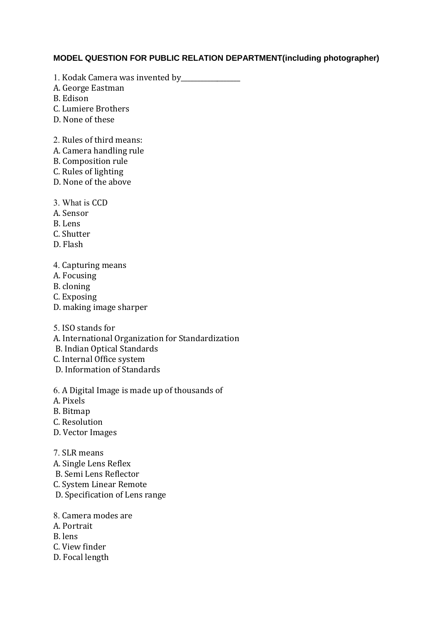## **MODEL QUESTION FOR PUBLIC RELATION DEPARTMENT(including photographer)**

- 1. Kodak Camera was invented by \_\_\_\_\_\_\_\_\_\_\_\_\_\_\_
- A. George Eastman

B. Edison

- C. Lumiere Brothers
- D. None of these
- 2. Rules of third means:
- A. Camera handling rule
- B. Composition rule
- C. Rules of lighting
- D. None of the above
- 3. What is CCD
- A. Sensor
- B. Lens
- C. Shutter
- D. Flash
- 4. Capturing means
- A. Focusing
- B. cloning
- C. Exposing
- D. making image sharper
- 5. ISO stands for
- A. International Organization for Standardization
- B. Indian Optical Standards
- C. Internal Office system
- D. Information of Standards
- 6. A Digital Image is made up of thousands of
- A. Pixels
- B. Bitmap
- C. Resolution
- D. Vector Images
- 7. SLR means
- A. Single Lens Reflex
- B. Semi Lens Reflector
- C. System Linear Remote
- D. Specification of Lens range
- 8. Camera modes are
- A. Portrait
- B. lens
- C. View finder
- D. Focal length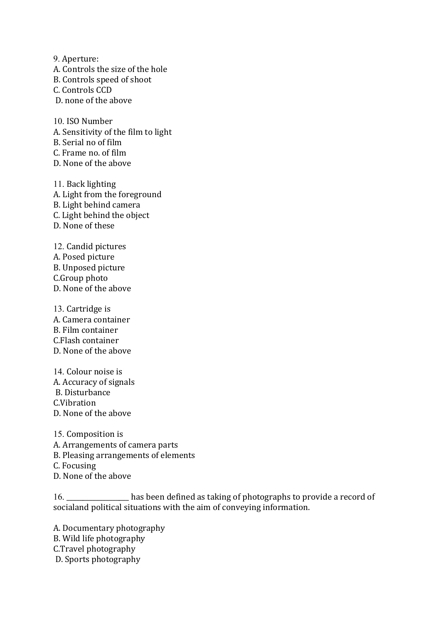9. Aperture: A. Controls the size of the hole B. Controls speed of shoot C. Controls CCD D. none of the above

10. ISO Number A. Sensitivity of the film to light B. Serial no of film C. Frame no. of film D. None of the above

11. Back lighting A. Light from the foreground B. Light behind camera C. Light behind the object D. None of these

12. Candid pictures A. Posed picture B. Unposed picture C.Group photo D. None of the above

13. Cartridge is A. Camera container B. Film container C.Flash container D. None of the above

14. Colour noise is A. Accuracy of signals B. Disturbance C.Vibration D. None of the above

15. Composition is A. Arrangements of camera parts B. Pleasing arrangements of elements C. Focusing D. None of the above

16. \_\_\_\_\_\_\_\_\_\_\_\_\_\_\_\_\_\_\_ has been defined as taking of photographs to provide a record of socialand political situations with the aim of conveying information.

A. Documentary photography B. Wild life photography C.Travel photography D. Sports photography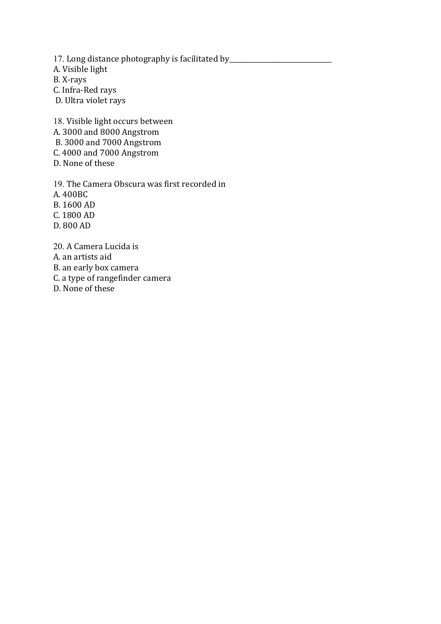17. Long distance photography is facilitated by\_\_\_\_\_\_\_\_\_\_\_\_\_\_\_\_\_\_\_\_\_\_\_\_\_\_\_\_\_\_\_\_\_ A. Visible light B. X-rays C. Infra-Red rays D. Ultra violet rays

18. Visible light occurs between A. 3000 and 8000 Angstrom B. 3000 and 7000 Angstrom C. 4000 and 7000 Angstrom D. None of these

19. The Camera Obscura was first recorded in A. 400BC B. 1600 AD C. 1800 AD D. 800 AD

20. A Camera Lucida is A. an artists aid B. an early box camera C. a type of rangefinder camera D. None of these